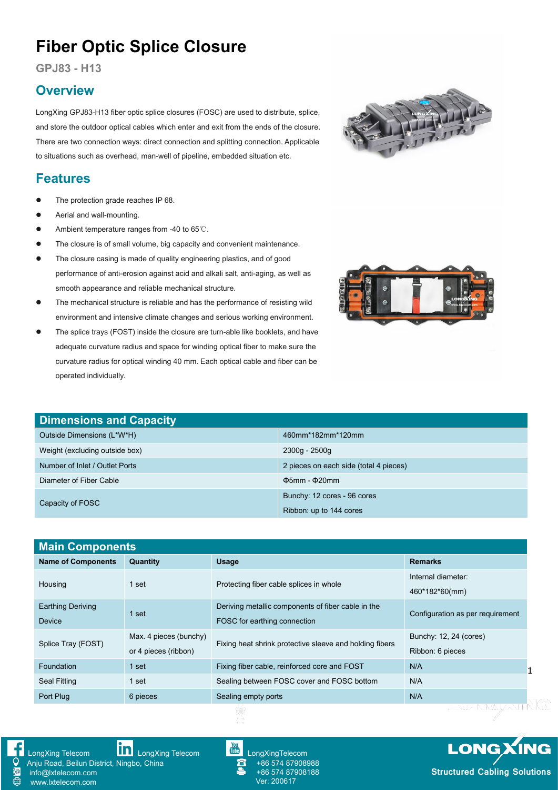# **Fiber Optic Splice Closure**

**GPJ83 - H13**

#### **Overview**

LongXing GPJ83-H13 fiber optic splice closures (FOSC) are used to distribute, splice, and store the outdoor optical cables which enter and exit from the ends of the closure.<br>There are two connection ways: direct connection and splitting connection. Applicable to situations such as overhead, man-well of pipeline, embedded situation etc.

### **Features**

- The protection grade reaches IP 68.
- Aerial and wall-mounting.
- Ambient temperature ranges from -40 to 65℃.
- The closure is of small volume, big capacity and convenient maintenance.
- The closure casing is made of quality engineering plastics, and of good performance of anti-erosion against acid and alkali salt, anti-aging, as well as smooth appearance and reliable mechanical structure.
- The mechanical structure is reliable and has the performance of resisting wild environment and intensive climate changes and serious working environment.
- The splice trays (FOST) inside the closure are turn-able like booklets, and have adequate curvature radius and space for winding optical fiber to make sure the curvature radius for optical winding 40 mm. Each optical cable and fiber can be operated individually.

| <b>Dimensions and Capacity</b> |                                        |
|--------------------------------|----------------------------------------|
| Outside Dimensions (L*W*H)     | 460mm*182mm*120mm                      |
| Weight (excluding outside box) | 2300g - 2500g                          |
| Number of Inlet / Outlet Ports | 2 pieces on each side (total 4 pieces) |
| Diameter of Fiber Cable        | $\Phi$ 5mm - $\Phi$ 20mm               |
| Capacity of FOSC               | Bunchy: 12 cores - 96 cores            |

Ribbon: up to 144 cores

| <b>Main Components</b>                     |                        |                                                         |                                  |  |
|--------------------------------------------|------------------------|---------------------------------------------------------|----------------------------------|--|
| <b>Name of Components</b>                  | Quantity               | <b>Usage</b>                                            | <b>Remarks</b>                   |  |
|                                            |                        |                                                         | Internal diameter:               |  |
| Housing<br>1 set                           |                        | Protecting fiber cable splices in whole                 | 460*182*60(mm)                   |  |
| <b>Earthing Deriving</b>                   | 1 set                  | Deriving metallic components of fiber cable in the      |                                  |  |
| <b>Device</b>                              |                        | FOSC for earthing connection                            | Configuration as per requirement |  |
|                                            | Max. 4 pieces (bunchy) | Fixing heat shrink protective sleeve and holding fibers | Bunchy: 12, 24 (cores)           |  |
| Splice Tray (FOST)<br>or 4 pieces (ribbon) |                        |                                                         | Ribbon: 6 pieces                 |  |
| Foundation                                 | 1 set                  | Fixing fiber cable, reinforced core and FOST            | N/A                              |  |
| Seal Fitting                               | 1 set                  | Sealing between FOSC cover and FOSC bottom              | N/A                              |  |
| Port Plug                                  | 6 pieces               | Sealing empty ports                                     | N/A                              |  |





[LongXing](https://www.linkedin.com/company/longxing-telecom) Telecom **LongXing Telecom** [LongXingTelecom](https://www.youtube.com/user/LongXingTelecom)

Anju Road, Beilun District, Ningbo, China info@lxtelecom.com [www.lxtelecom.com](http://www.lxtelecom.com/)



+86 574 87908988 +86 574 87908188 Ver: 200617

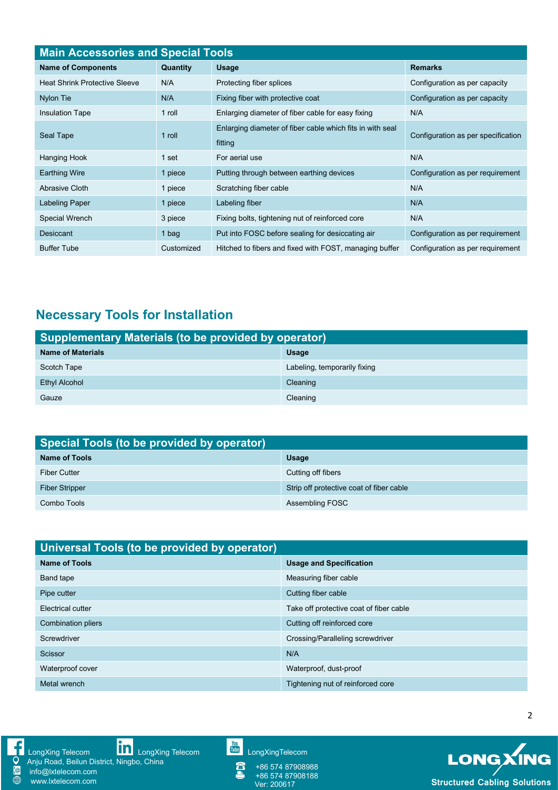| <b>Main Accessories and Special Tools</b> |            |                                                                      |                                    |  |
|-------------------------------------------|------------|----------------------------------------------------------------------|------------------------------------|--|
| <b>Name of Components</b>                 | Quantity   | <b>Usage</b>                                                         | <b>Remarks</b>                     |  |
| <b>Heat Shrink Protective Sleeve</b>      | N/A        | Protecting fiber splices                                             | Configuration as per capacity      |  |
| Nylon Tie                                 | N/A        | Fixing fiber with protective coat                                    | Configuration as per capacity      |  |
| <b>Insulation Tape</b>                    | 1 roll     | Enlarging diameter of fiber cable for easy fixing                    | N/A                                |  |
| Seal Tape                                 | 1 roll     | Enlarging diameter of fiber cable which fits in with seal<br>fitting | Configuration as per specification |  |
| Hanging Hook                              | 1 set      | For aerial use                                                       | N/A                                |  |
| <b>Earthing Wire</b>                      | 1 piece    | Putting through between earthing devices                             | Configuration as per requirement   |  |
| Abrasive Cloth                            | 1 piece    | Scratching fiber cable                                               | N/A                                |  |
| Labeling Paper                            | 1 piece    | Labeling fiber                                                       | N/A                                |  |
| Special Wrench                            | 3 piece    | Fixing bolts, tightening nut of reinforced core                      | N/A                                |  |
| Desiccant                                 | 1 bag      | Put into FOSC before sealing for desiccating air                     | Configuration as per requirement   |  |
| <b>Buffer Tube</b>                        | Customized | Hitched to fibers and fixed with FOST, managing buffer               | Configuration as per requirement   |  |

# **Necessary Tools for Installation**

| Supplementary Materials (to be provided by operator) |                              |  |
|------------------------------------------------------|------------------------------|--|
| <b>Name of Materials</b>                             | <b>Usage</b>                 |  |
| Scotch Tape                                          | Labeling, temporarily fixing |  |
| Ethyl Alcohol                                        | Cleaning                     |  |
| Gauze                                                | Cleaning                     |  |

| Special Tools (to be provided by operator) |                                          |  |
|--------------------------------------------|------------------------------------------|--|
| <b>Name of Tools</b>                       | Usage                                    |  |
| <b>Fiber Cutter</b>                        | Cutting off fibers                       |  |
| <b>Fiber Stripper</b>                      | Strip off protective coat of fiber cable |  |
| Combo Tools                                | Assembling FOSC                          |  |

| Universal Tools (to be provided by operator) |                                         |  |
|----------------------------------------------|-----------------------------------------|--|
| <b>Name of Tools</b>                         | <b>Usage and Specification</b>          |  |
| Band tape                                    | Measuring fiber cable                   |  |
| Pipe cutter                                  | Cutting fiber cable                     |  |
| Electrical cutter                            | Take off protective coat of fiber cable |  |
| Combination pliers                           | Cutting off reinforced core             |  |
| Screwdriver                                  | Crossing/Paralleling screwdriver        |  |
| Scissor                                      | N/A                                     |  |
| Waterproof cover                             | Waterproof, dust-proof                  |  |
| Metal wrench                                 | Tightening nut of reinforced core       |  |



[LongXing](https://www.linkedin.com/company/longxing-telecom) Telecom **LILLI** LongXing Telecom Lulling [LongXingTelecom](https://www.youtube.com/user/LongXingTelecom) and CongXingTelecom

Anju Road, Beilun District, Ningbo, China info@lxtelecom.com

[www.lxtelecom.com](http://www.lxtelecom.com/)

+86 574 87908988 +86 574 87908188

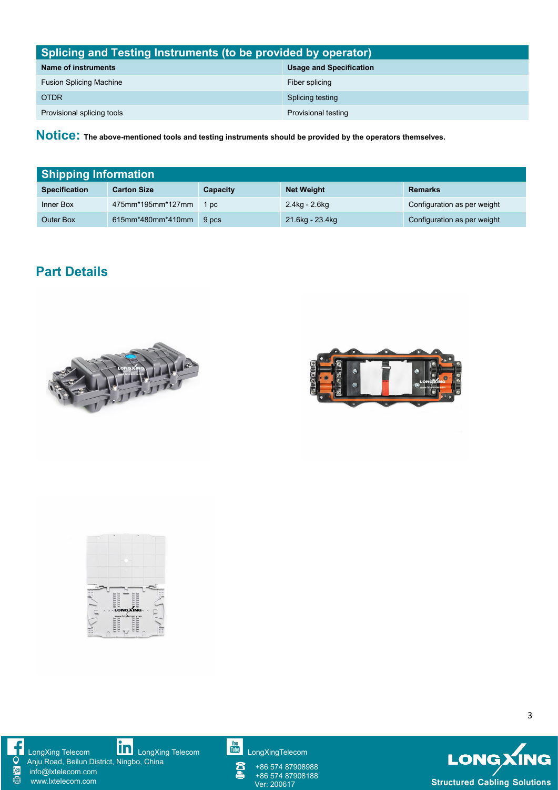| Splicing and Testing Instruments (to be provided by operator) |                                |  |
|---------------------------------------------------------------|--------------------------------|--|
| Name of instruments                                           | <b>Usage and Specification</b> |  |
| <b>Fusion Splicing Machine</b>                                | Fiber splicing                 |  |
| <b>OTDR</b>                                                   | Splicing testing               |  |
| Provisional splicing tools                                    | Provisional testing            |  |

**Notice: The above-mentioned tools and testing instruments should be provided by the operators themselves.**

| <b>Shipping Information</b> |                    |          |                   |                             |
|-----------------------------|--------------------|----------|-------------------|-----------------------------|
| <b>Specification</b>        | <b>Carton Size</b> | Capacity | <b>Net Weight</b> | <b>Remarks</b>              |
| Inner Box                   | 475mm*195mm*127mm  | 1 pc     | 2.4kg - 2.6kg     | Configuration as per weight |
| <b>Outer Box</b>            | 615mm*480mm*410mm  | 9 pcs    | 21.6kg - 23.4kg   | Configuration as per weight |

## **Part Details**







[LongXing](https://www.linkedin.com/company/longxing-telecom) Telecom **LILLI** LongXing Telecom Lulling [LongXingTelecom](https://www.youtube.com/user/LongXingTelecom) and CongXingTelecom Anju Road, Beilun District, Ningbo, China info@lxtelecom.com [www.lxtelecom.com](http://www.lxtelecom.com/)

<u>Ş@</u>  $\overline{\oplus}$ 



+86 574 87908988 +86 574 87908188



3